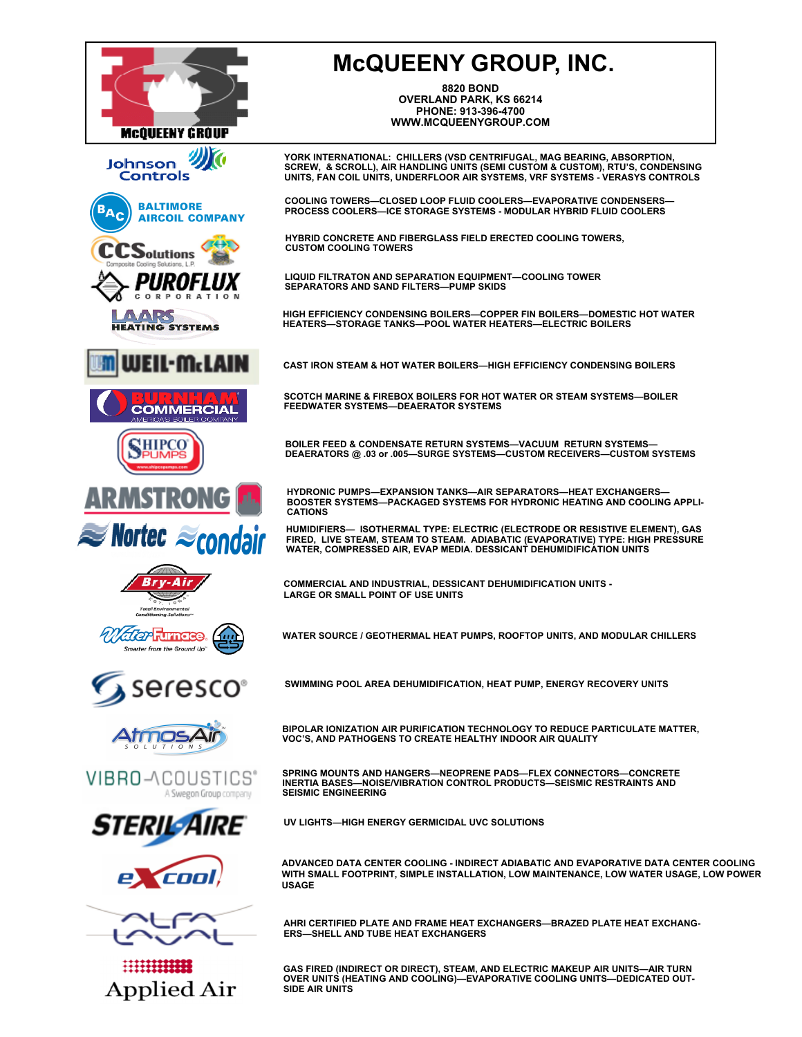

## **McQUEENY GROUP, INC.**

**8820 BOND OVERLAND PARK, KS 66214 PHONE: 913-396-4700 WWW.MCQUEENYGROUP.COM** 

YORK INTERNATIONAL: CHILLERS (VSD CENTRIFUGAL, MAG BEARING, ABSORPTION,<br>SCREW, & SCROLL), AIR HANDLING UNITS (SEMI CUSTOM & CUSTOM), RTU'S, CONDENSING<br>UNITS, FAN COIL UNITS, UNDERFLOOR AIR SYSTEMS, VRF SYSTEMS - VERASYS

**COOLING TOWERS—CLOSED LOOP FLUID COOLERS—EVAPORATIVE CONDENSERS— PROCESS COOLERS—ICE STORAGE SYSTEMS - MODULAR HYBRID FLUID COOLERS**

**HYBRID CONCRETE AND FIBERGLASS FIELD ERECTED COOLING TOWERS, CUSTOM COOLING TOWERS** 

**LIQUID FILTRATON AND SEPARATION EQUIPMENT—COOLING TOWER SEPARATORS AND SAND FILTERS—PUMP SKIDS** 

**HIGH EFFICIENCY CONDENSING BOILERS—COPPER FIN BOILERS—DOMESTIC HOT WATER HEATERS—STORAGE TANKS—POOL WATER HEATERS—ELECTRIC BOILERS**

**CAST IRON STEAM & HOT WATER BOILERS—HIGH EFFICIENCY CONDENSING BOILERS** 

**SCOTCH MARINE & FIREBOX BOILERS FOR HOT WATER OR STEAM SYSTEMS—BOILER FEEDWATER SYSTEMS—DEAERATOR SYSTEMS** 

**BOILER FEED & CONDENSATE RETURN SYSTEMS—VACUUM RETURN SYSTEMS— DEAERATORS @ .03 or .005—SURGE SYSTEMS—CUSTOM RECEIVERS—CUSTOM SYSTEMS** 

**HYDRONIC PUMPS—EXPANSION TANKS—AIR SEPARATORS—HEAT EXCHANGERS— BOOSTER SYSTEMS—PACKAGED SYSTEMS FOR HYDRONIC HEATING AND COOLING APPLI-CATIONS** 

HUMIDIFIERS— ISOTHERMAL TYPE: ELECTRIC (ELECTRODE OR RESISTIVE ELEMENT), GAS<br>FIRED, LIVE STEAM, STEAM TO STEAM. ADIABATIC (EVAPORATIVE) TYPE: HIGH PRESSURE<br>WATER, COMPRESSED AIR, EVAP MEDIA. DESSICANT DEHUMIDIFICATION UN

**COMMERCIAL AND INDUSTRIAL, DESSICANT DEHUMIDIFICATION UNITS - LARGE OR SMALL POINT OF USE UNITS**

**WATER SOURCE / GEOTHERMAL HEAT PUMPS, ROOFTOP UNITS, AND MODULAR CHILLERS** 

**SWIMMING POOL AREA DEHUMIDIFICATION, HEAT PUMP, ENERGY RECOVERY UNITS** 

**BIPOLAR IONIZATION AIR PURIFICATION TECHNOLOGY TO REDUCE PARTICULATE MATTER, VOC'S, AND PATHOGENS TO CREATE HEALTHY INDOOR AIR QUALITY** 

**SPRING MOUNTS AND HANGERS—NEOPRENE PADS—FLEX CONNECTORS—CONCRETE INERTIA BASES—NOISE/VIBRATION CONTROL PRODUCTS—SEISMIC RESTRAINTS AND SEISMIC ENGINEERING** 

**UV LIGHTS—HIGH ENERGY GERMICIDAL UVC SOLUTIONS** 

**ADVANCED DATA CENTER COOLING - INDIRECT ADIABATIC AND EVAPORATIVE DATA CENTER COOLING WITH SMALL FOOTPRINT, SIMPLE INSTALLATION, LOW MAINTENANCE, LOW WATER USAGE, LOW POWER USAGE**

**AHRI CERTIFIED PLATE AND FRAME HEAT EXCHANGERS—BRAZED PLATE HEAT EXCHANG-ERS—SHELL AND TUBE HEAT EXCHANGERS** 

**GAS FIRED (INDIRECT OR DIRECT), STEAM, AND ELECTRIC MAKEUP AIR UNITS—AIR TURN OVER UNITS (HEATING AND COOLING)—EVAPORATIVE COOLING UNITS—DEDICATED OUT-SIDE AIR UNITS**